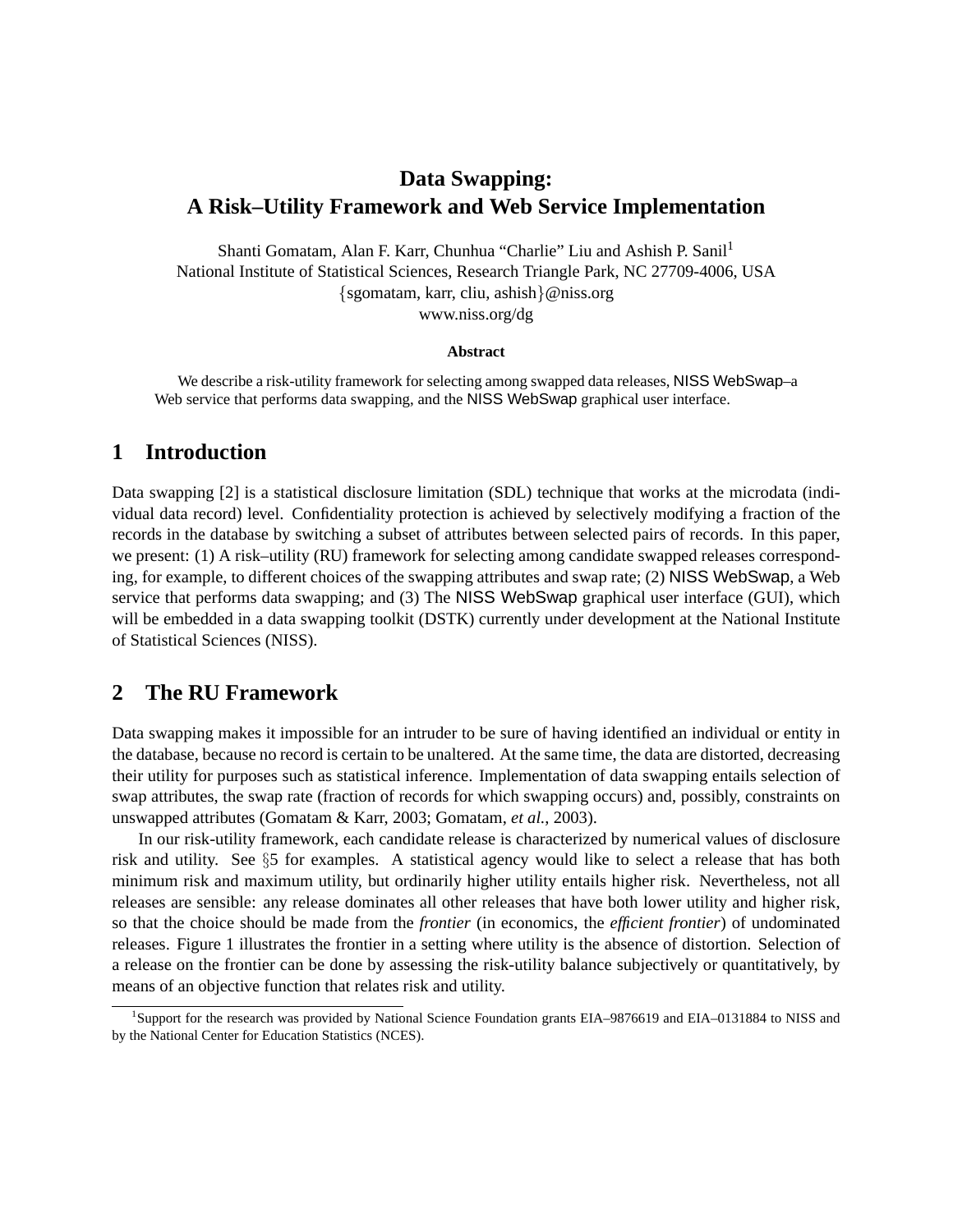# **Data Swapping: A Risk–Utility Framework and Web Service Implementation**

Shanti Gomatam, Alan F. Karr, Chunhua "Charlie" Liu and Ashish P. Sanil<sup>1</sup> National Institute of Statistical Sciences, Research Triangle Park, NC 27709-4006, USA {sgomatam, karr, cliu, ashish}@niss.org www.niss.org/dg

#### **Abstract**

We describe a risk-utility framework for selecting among swapped data releases, NISS WebSwap–a Web service that performs data swapping, and the NISS WebSwap graphical user interface.

### **1 Introduction**

Data swapping [2] is a statistical disclosure limitation (SDL) technique that works at the microdata (individual data record) level. Confidentiality protection is achieved by selectively modifying a fraction of the records in the database by switching a subset of attributes between selected pairs of records. In this paper, we present: (1) A risk–utility (RU) framework for selecting among candidate swapped releases corresponding, for example, to different choices of the swapping attributes and swap rate; (2) NISS WebSwap, a Web service that performs data swapping; and (3) The NISS WebSwap graphical user interface (GUI), which will be embedded in a data swapping toolkit (DSTK) currently under development at the National Institute of Statistical Sciences (NISS).

## **2 The RU Framework**

Data swapping makes it impossible for an intruder to be sure of having identified an individual or entity in the database, because no record is certain to be unaltered. At the same time, the data are distorted, decreasing their utility for purposes such as statistical inference. Implementation of data swapping entails selection of swap attributes, the swap rate (fraction of records for which swapping occurs) and, possibly, constraints on unswapped attributes (Gomatam & Karr, 2003; Gomatam, *et al.*, 2003).

In our risk-utility framework, each candidate release is characterized by numerical values of disclosure risk and utility. See §5 for examples. A statistical agency would like to select a release that has both minimum risk and maximum utility, but ordinarily higher utility entails higher risk. Nevertheless, not all releases are sensible: any release dominates all other releases that have both lower utility and higher risk, so that the choice should be made from the *frontier* (in economics, the *efficient frontier*) of undominated releases. Figure 1 illustrates the frontier in a setting where utility is the absence of distortion. Selection of a release on the frontier can be done by assessing the risk-utility balance subjectively or quantitatively, by means of an objective function that relates risk and utility.

<sup>&</sup>lt;sup>1</sup>Support for the research was provided by National Science Foundation grants EIA–9876619 and EIA–0131884 to NISS and by the National Center for Education Statistics (NCES).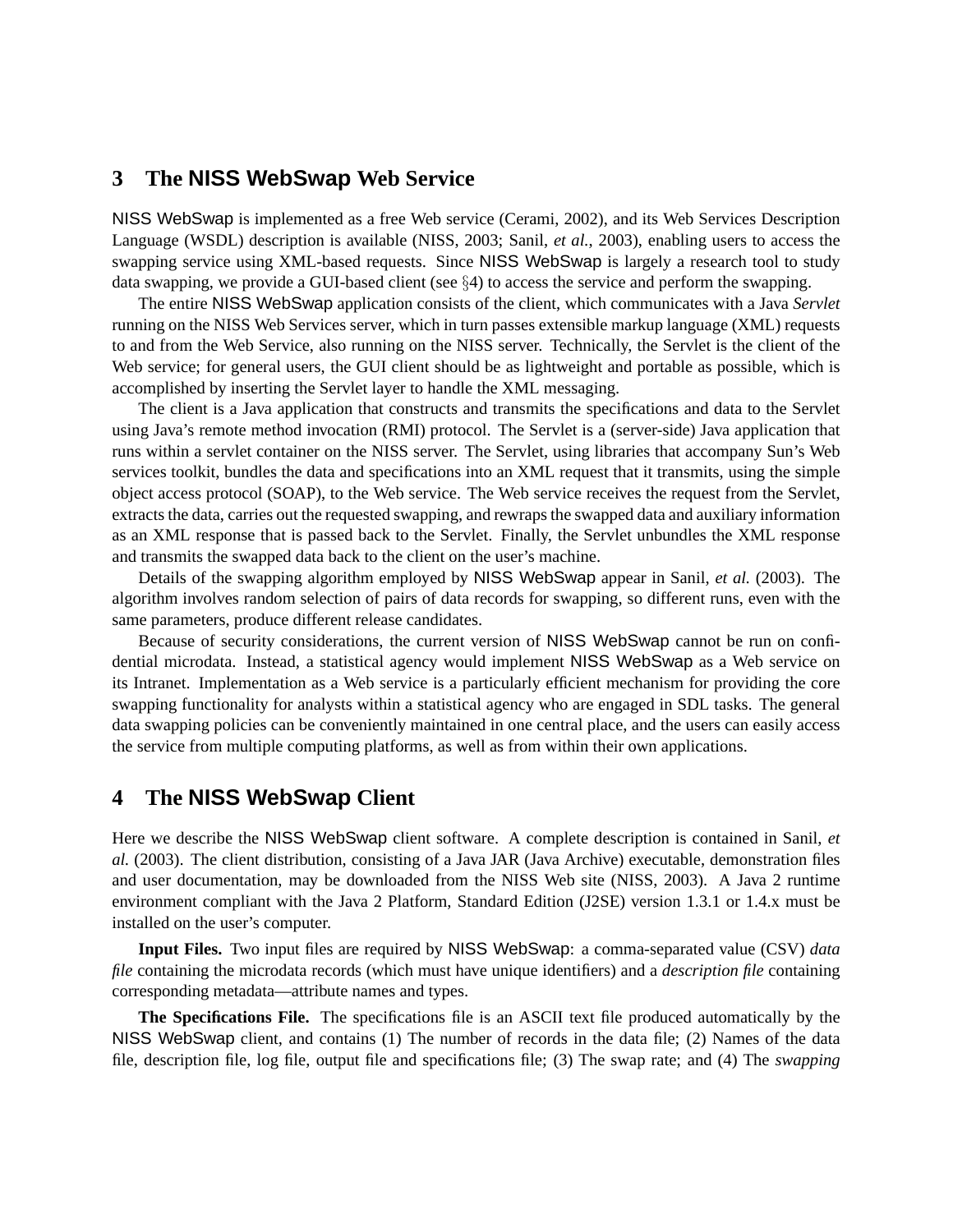## **3 The NISS WebSwap Web Service**

NISS WebSwap is implemented as a free Web service (Cerami, 2002), and its Web Services Description Language (WSDL) description is available (NISS, 2003; Sanil, *et al.*, 2003), enabling users to access the swapping service using XML-based requests. Since NISS WebSwap is largely a research tool to study data swapping, we provide a GUI-based client (see §4) to access the service and perform the swapping.

The entire NISS WebSwap application consists of the client, which communicates with a Java *Servlet* running on the NISS Web Services server, which in turn passes extensible markup language (XML) requests to and from the Web Service, also running on the NISS server. Technically, the Servlet is the client of the Web service; for general users, the GUI client should be as lightweight and portable as possible, which is accomplished by inserting the Servlet layer to handle the XML messaging.

The client is a Java application that constructs and transmits the specifications and data to the Servlet using Java's remote method invocation (RMI) protocol. The Servlet is a (server-side) Java application that runs within a servlet container on the NISS server. The Servlet, using libraries that accompany Sun's Web services toolkit, bundles the data and specifications into an XML request that it transmits, using the simple object access protocol (SOAP), to the Web service. The Web service receives the request from the Servlet, extracts the data, carries out the requested swapping, and rewraps the swapped data and auxiliary information as an XML response that is passed back to the Servlet. Finally, the Servlet unbundles the XML response and transmits the swapped data back to the client on the user's machine.

Details of the swapping algorithm employed by NISS WebSwap appear in Sanil, *et al.* (2003). The algorithm involves random selection of pairs of data records for swapping, so different runs, even with the same parameters, produce different release candidates.

Because of security considerations, the current version of NISS WebSwap cannot be run on confidential microdata. Instead, a statistical agency would implement NISS WebSwap as a Web service on its Intranet. Implementation as a Web service is a particularly efficient mechanism for providing the core swapping functionality for analysts within a statistical agency who are engaged in SDL tasks. The general data swapping policies can be conveniently maintained in one central place, and the users can easily access the service from multiple computing platforms, as well as from within their own applications.

# **4 The NISS WebSwap Client**

Here we describe the NISS WebSwap client software. A complete description is contained in Sanil, *et al.* (2003). The client distribution, consisting of a Java JAR (Java Archive) executable, demonstration files and user documentation, may be downloaded from the NISS Web site (NISS, 2003). A Java 2 runtime environment compliant with the Java 2 Platform, Standard Edition (J2SE) version 1.3.1 or 1.4.x must be installed on the user's computer.

**Input Files.** Two input files are required by NISS WebSwap: a comma-separated value (CSV) *data file* containing the microdata records (which must have unique identifiers) and a *description file* containing corresponding metadata—attribute names and types.

**The Specifications File.** The specifications file is an ASCII text file produced automatically by the NISS WebSwap client, and contains (1) The number of records in the data file; (2) Names of the data file, description file, log file, output file and specifications file; (3) The swap rate; and (4) The *swapping*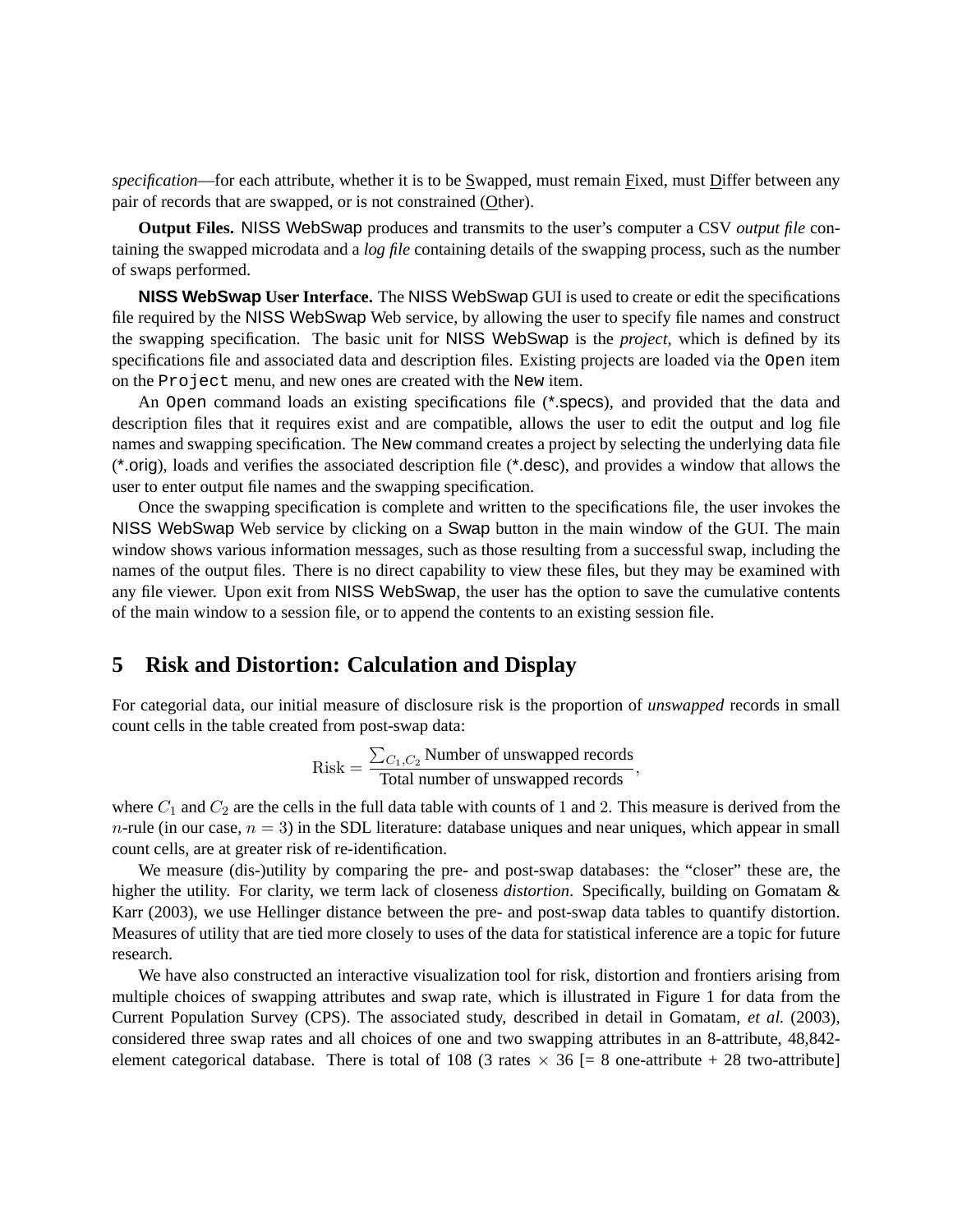*specification*—for each attribute, whether it is to be Swapped, must remain Fixed, must Differ between any pair of records that are swapped, or is not constrained (Other).

**Output Files.** NISS WebSwap produces and transmits to the user's computer a CSV *output file* containing the swapped microdata and a *log file* containing details of the swapping process, such as the number of swaps performed.

**NISS WebSwap User Interface.** The NISS WebSwap GUI is used to create or edit the specifications file required by the NISS WebSwap Web service, by allowing the user to specify file names and construct the swapping specification. The basic unit for NISS WebSwap is the *project*, which is defined by its specifications file and associated data and description files. Existing projects are loaded via the Open item on the Project menu, and new ones are created with the New item.

An Open command loads an existing specifications file (\*.specs), and provided that the data and description files that it requires exist and are compatible, allows the user to edit the output and log file names and swapping specification. The New command creates a project by selecting the underlying data file (\*.orig), loads and verifies the associated description file (\*.desc), and provides a window that allows the user to enter output file names and the swapping specification.

Once the swapping specification is complete and written to the specifications file, the user invokes the NISS WebSwap Web service by clicking on a Swap button in the main window of the GUI. The main window shows various information messages, such as those resulting from a successful swap, including the names of the output files. There is no direct capability to view these files, but they may be examined with any file viewer. Upon exit from NISS WebSwap, the user has the option to save the cumulative contents of the main window to a session file, or to append the contents to an existing session file.

#### **5 Risk and Distortion: Calculation and Display**

For categorial data, our initial measure of disclosure risk is the proportion of *unswapped* records in small count cells in the table created from post-swap data:

Risk = 
$$
\frac{\sum_{C_1, C_2} \text{Number of unswapped records}}{\text{Total number of unswapped records}},
$$

where  $C_1$  and  $C_2$  are the cells in the full data table with counts of 1 and 2. This measure is derived from the n-rule (in our case,  $n = 3$ ) in the SDL literature: database uniques and near uniques, which appear in small count cells, are at greater risk of re-identification.

We measure (dis-)utility by comparing the pre- and post-swap databases: the "closer" these are, the higher the utility. For clarity, we term lack of closeness *distortion*. Specifically, building on Gomatam & Karr (2003), we use Hellinger distance between the pre- and post-swap data tables to quantify distortion. Measures of utility that are tied more closely to uses of the data for statistical inference are a topic for future research.

We have also constructed an interactive visualization tool for risk, distortion and frontiers arising from multiple choices of swapping attributes and swap rate, which is illustrated in Figure 1 for data from the Current Population Survey (CPS). The associated study, described in detail in Gomatam, *et al.* (2003), considered three swap rates and all choices of one and two swapping attributes in an 8-attribute, 48,842 element categorical database. There is total of 108 (3 rates  $\times$  36 [= 8 one-attribute + 28 two-attribute]